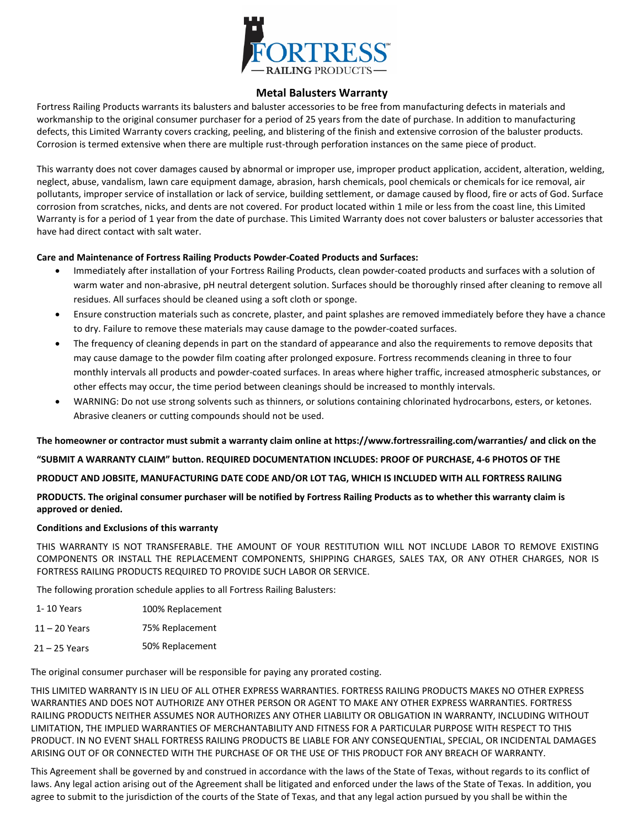

## **Metal Balusters Warranty**

Fortress Railing Products warrants its balusters and baluster accessories to be free from manufacturing defects in materials and workmanship to the original consumer purchaser for a period of 25 years from the date of purchase. In addition to manufacturing defects, this Limited Warranty covers cracking, peeling, and blistering of the finish and extensive corrosion of the baluster products. Corrosion is termed extensive when there are multiple rust-through perforation instances on the same piece of product.

This warranty does not cover damages caused by abnormal or improper use, improper product application, accident, alteration, welding, neglect, abuse, vandalism, lawn care equipment damage, abrasion, harsh chemicals, pool chemicals or chemicals for ice removal, air pollutants, improper service of installation or lack of service, building settlement, or damage caused by flood, fire or acts of God. Surface corrosion from scratches, nicks, and dents are not covered. For product located within 1 mile or less from the coast line, this Limited Warranty is for a period of 1 year from the date of purchase. This Limited Warranty does not cover balusters or baluster accessories that have had direct contact with salt water.

## **Care and Maintenance of Fortress Railing Products Powder-Coated Products and Surfaces:**

- Immediately after installation of your Fortress Railing Products, clean powder-coated products and surfaces with a solution of warm water and non-abrasive, pH neutral detergent solution. Surfaces should be thoroughly rinsed after cleaning to remove all residues. All surfaces should be cleaned using a soft cloth or sponge.
- Ensure construction materials such as concrete, plaster, and paint splashes are removed immediately before they have a chance to dry. Failure to remove these materials may cause damage to the powder-coated surfaces.
- The frequency of cleaning depends in part on the standard of appearance and also the requirements to remove deposits that may cause damage to the powder film coating after prolonged exposure. Fortress recommends cleaning in three to four monthly intervals all products and powder-coated surfaces. In areas where higher traffic, increased atmospheric substances, or other effects may occur, the time period between cleanings should be increased to monthly intervals.
- WARNING: Do not use strong solvents such as thinners, or solutions containing chlorinated hydrocarbons, esters, or ketones. Abrasive cleaners or cutting compounds should not be used.

**The homeowner or contractor must submit a warranty claim online at https://www.fortressrailing.com/warranties/ and click on the** 

**"SUBMI[T A WARRANTY CLAIM" button. R](mailto:warranties@fortressrailing.com)EQUIRED DOCUMENTATION INCLUDES: PROOF OF PURCHASE, 4-6 PHOTOS OF THE** 

**PRODUCT AND JOBSITE, MANUFACTURING DATE CODE AND/OR LOT TAG, WHICH IS INCLUDED WITH ALL FORTRESS RAILING** 

**PRODUCTS. The original consumer purchaser will be notified by Fortress Railing Products as to whether this warranty claim is approved or denied.** 

## **Conditions and Exclusions of this warranty**

THIS WARRANTY IS NOT TRANSFERABLE. THE AMOUNT OF YOUR RESTITUTION WILL NOT INCLUDE LABOR TO REMOVE EXISTING COMPONENTS OR INSTALL THE REPLACEMENT COMPONENTS, SHIPPING CHARGES, SALES TAX, OR ANY OTHER CHARGES, NOR IS FORTRESS RAILING PRODUCTS REQUIRED TO PROVIDE SUCH LABOR OR SERVICE.

The following proration schedule applies to all Fortress Railing Balusters:

| 1-10 Years      | 100% Replacement |
|-----------------|------------------|
| $11 - 20$ Years | 75% Replacement  |
| $21 - 25$ Years | 50% Replacement  |

The original consumer purchaser will be responsible for paying any prorated costing.

THIS LIMITED WARRANTY IS IN LIEU OF ALL OTHER EXPRESS WARRANTIES. FORTRESS RAILING PRODUCTS MAKES NO OTHER EXPRESS WARRANTIES AND DOES NOT AUTHORIZE ANY OTHER PERSON OR AGENT TO MAKE ANY OTHER EXPRESS WARRANTIES. FORTRESS RAILING PRODUCTS NEITHER ASSUMES NOR AUTHORIZES ANY OTHER LIABILITY OR OBLIGATION IN WARRANTY, INCLUDING WITHOUT LIMITATION, THE IMPLIED WARRANTIES OF MERCHANTABILITY AND FITNESS FOR A PARTICULAR PURPOSE WITH RESPECT TO THIS PRODUCT. IN NO EVENT SHALL FORTRESS RAILING PRODUCTS BE LIABLE FOR ANY CONSEQUENTIAL, SPECIAL, OR INCIDENTAL DAMAGES ARISING OUT OF OR CONNECTED WITH THE PURCHASE OF OR THE USE OF THIS PRODUCT FOR ANY BREACH OF WARRANTY.

This Agreement shall be governed by and construed in accordance with the laws of the State of Texas, without regards to its conflict of laws. Any legal action arising out of the Agreement shall be litigated and enforced under the laws of the State of Texas. In addition, you agree to submit to the jurisdiction of the courts of the State of Texas, and that any legal action pursued by you shall be within the